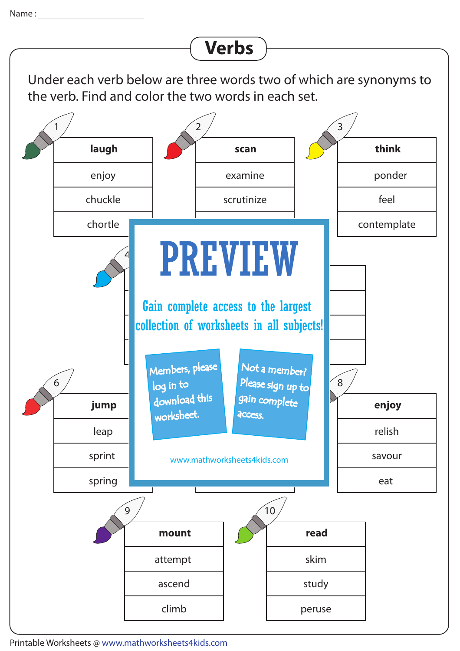